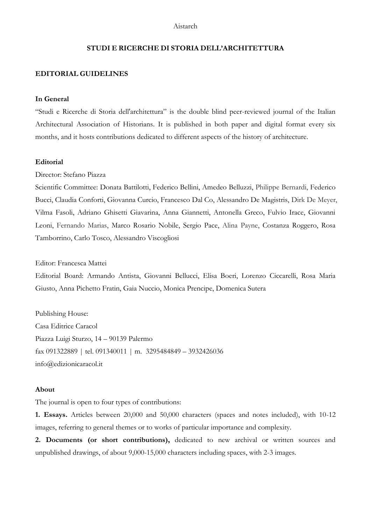### **STUDI E RICERCHE DI STORIA DELL'ARCHITETTURA**

### **EDITORIAL GUIDELINES**

#### **In General**

"Studi e Ricerche di Storia dell'architettura" is the double blind peer-reviewed journal of the Italian Architectural Association of Historians. It is published in both paper and digital format every six months, and it hosts contributions dedicated to different aspects of the history of architecture.

#### **Editorial**

Director: Stefano Piazza

Scientific Committee: Donata Battilotti, Federico Bellini, Amedeo Belluzzi, Philippe Bernardi, Federico Bucci, Claudia Conforti, Giovanna Curcio, Francesco Dal Co, Alessandro De Magistris, Dirk De Meyer, Vilma Fasoli, Adriano Ghisetti Giavarina, Anna Giannetti, Antonella Greco, Fulvio Irace, Giovanni Leoni, Fernando Marias, Marco Rosario Nobile, Sergio Pace, Alina Payne, Costanza Roggero, Rosa Tamborrino, Carlo Tosco, Alessandro Viscogliosi

Editor: Francesca Mattei

Editorial Board: Armando Antista, Giovanni Bellucci, Elisa Boeri, Lorenzo Ciccarelli, Rosa Maria Giusto, Anna Pichetto Fratin, Gaia Nuccio, Monica Prencipe, Domenica Sutera

Publishing House: Casa Editrice Caracol Piazza Luigi Sturzo, 14 – 90139 Palermo fax 091322889 | tel. 091340011 | m. 3295484849 – 3932426036 info@edizionicaracol.it

#### **About**

The journal is open to four types of contributions:

**1. Essays.** Articles between 20,000 and 50,000 characters (spaces and notes included), with 10-12 images, referring to general themes or to works of particular importance and complexity.

**2. Documents (or short contributions),** dedicated to new archival or written sources and unpublished drawings, of about 9,000-15,000 characters including spaces, with 2-3 images.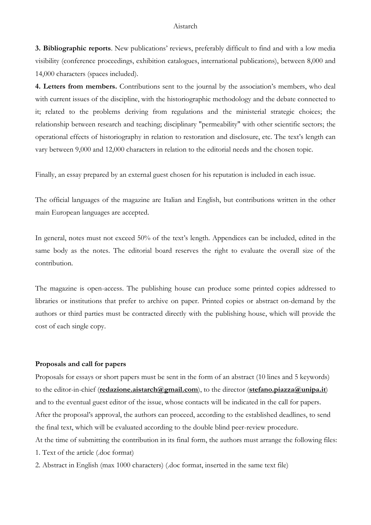**3. Bibliographic reports**. New publications' reviews, preferably difficult to find and with a low media visibility (conference proceedings, exhibition catalogues, international publications), between 8,000 and 14,000 characters (spaces included).

**4. Letters from members.** Contributions sent to the journal by the association's members, who deal with current issues of the discipline, with the historiographic methodology and the debate connected to it; related to the problems deriving from regulations and the ministerial strategic choices; the relationship between research and teaching; disciplinary "permeability" with other scientific sectors; the operational effects of historiography in relation to restoration and disclosure, etc. The text's length can vary between 9,000 and 12,000 characters in relation to the editorial needs and the chosen topic.

Finally, an essay prepared by an external guest chosen for his reputation is included in each issue.

The official languages of the magazine are Italian and English, but contributions written in the other main European languages are accepted.

In general, notes must not exceed 50% of the text's length. Appendices can be included, edited in the same body as the notes. The editorial board reserves the right to evaluate the overall size of the contribution.

The magazine is open-access. The publishing house can produce some printed copies addressed to libraries or institutions that prefer to archive on paper. Printed copies or abstract on-demand by the authors or third parties must be contracted directly with the publishing house, which will provide the cost of each single copy.

# **Proposals and call for papers**

Proposals for essays or short papers must be sent in the form of an abstract (10 lines and 5 keywords) to the editor-in-chief (**redazione.aistarch@gmail.com**), to the director (**stefano.piazza@unipa.it**) and to the eventual guest editor of the issue, whose contacts will be indicated in the call for papers. After the proposal's approval, the authors can proceed, according to the established deadlines, to send the final text, which will be evaluated according to the double blind peer-review procedure. At the time of submitting the contribution in its final form, the authors must arrange the following files: 1. Text of the article (.doc format)

2. Abstract in English (max 1000 characters) (.doc format, inserted in the same text file)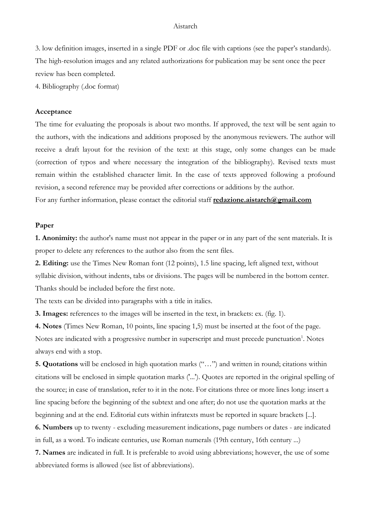3. low definition images, inserted in a single PDF or .doc file with captions (see the paper's standards). The high-resolution images and any related authorizations for publication may be sent once the peer review has been completed.

4. Bibliography (.doc format)

#### **Acceptance**

The time for evaluating the proposals is about two months. If approved, the text will be sent again to the authors, with the indications and additions proposed by the anonymous reviewers. The author will receive a draft layout for the revision of the text: at this stage, only some changes can be made (correction of typos and where necessary the integration of the bibliography). Revised texts must remain within the established character limit. In the case of texts approved following a profound revision, a second reference may be provided after corrections or additions by the author. For any further information, please contact the editorial staff **redazione.aistarch@gmail.com**

#### **Paper**

**1. Anonimity:** the author's name must not appear in the paper or in any part of the sent materials. It is proper to delete any references to the author also from the sent files.

**2. Editing:** use the Times New Roman font (12 points), 1.5 line spacing, left aligned text, without syllabic division, without indents, tabs or divisions. The pages will be numbered in the bottom center. Thanks should be included before the first note.

The texts can be divided into paragraphs with a title in italics.

**3. Images:** references to the images will be inserted in the text, in brackets: ex. (fig. 1).

**4. Notes** (Times New Roman, 10 points, line spacing 1,5) must be inserted at the foot of the page. Notes are indicated with a progressive number in superscript and must precede punctuation<sup>1</sup>. Notes always end with a stop.

**5. Quotations** will be enclosed in high quotation marks ("…") and written in round; citations within citations will be enclosed in simple quotation marks ('...'). Quotes are reported in the original spelling of the source; in case of translation, refer to it in the note. For citations three or more lines long: insert a line spacing before the beginning of the subtext and one after; do not use the quotation marks at the beginning and at the end. Editorial cuts within infratexts must be reported in square brackets [...].

**6. Numbers** up to twenty - excluding measurement indications, page numbers or dates - are indicated in full, as a word. To indicate centuries, use Roman numerals (19th century, 16th century ...)

**7. Names** are indicated in full. It is preferable to avoid using abbreviations; however, the use of some abbreviated forms is allowed (see list of abbreviations).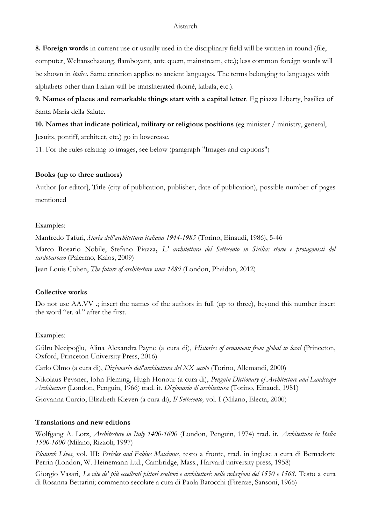**8. Foreign words** in current use or usually used in the disciplinary field will be written in round (file, computer, Weltanschaaung, flamboyant, ante quem, mainstream, etc.); less common foreign words will be shown in *italics*. Same criterion applies to ancient languages. The terms belonging to languages with alphabets other than Italian will be transliterated (koinè, kabala, etc.).

**9. Names of places and remarkable things start with a capital letter**. Eg piazza Liberty, basilica of Santa Maria della Salute.

**10. Names that indicate political, military or religious positions** (eg minister / ministry, general, Jesuits, pontiff, architect, etc.) go in lowercase.

11. For the rules relating to images, see below (paragraph "Images and captions")

# **Books (up to three authors)**

Author [or editor], Title (city of publication, publisher, date of publication), possible number of pages mentioned

# Examples:

Manfredo Tafuri, *Storia dell'architettura italiana 1944-1985* (Torino, Einaudi, 1986), 5-46

Marco Rosario Nobile, Stefano Piazza**,** *L' architettura del Settecento in Sicilia: storie e protagonisti del tardobarocco* (Palermo, Kalos, 2009)

Jean Louis Cohen, *The future of architecture since 1889* (London, Phaidon, 2012)

# **Collective works**

Do not use AA.VV .; insert the names of the authors in full (up to three), beyond this number insert the word "et. al." after the first.

### Examples:

Gülru Necipoğlu, Alina Alexandra Payne (a cura di), *Histories of ornament: from global to local* (Princeton, Oxford, Princeton University Press, 2016)

Carlo Olmo (a cura di), *Dizionario dell'architettura del XX secolo* (Torino, Allemandi, 2000)

Nikolaus Pevsner, John Fleming, Hugh Honour (a cura di), *Penguin Dictionary of Architecture and Landscape Architecture* (London, Penguin, 1966) trad. it. *Dizionario di architettura* (Torino, Einaudi, 1981)

Giovanna Curcio, Elisabeth Kieven (a cura di), *Il Settecento,* vol. I (Milano, Electa, 2000)

### **Translations and new editions**

Wolfgang A. Lotz, *Architecture in Italy 1400-1600* (London, Penguin, 1974) trad. it. *Architettura in Italia 1500-1600* (Milano, Rizzoli, 1997)

*Plutarch Lives*, vol. III: *Pericles and Fabius Maximus*, testo a fronte, trad. in inglese a cura di Bernadotte Perrin (London, W. Heinemann Ltd., Cambridge, Mass., Harvard university press, 1958)

Giorgio Vasari, *Le vite de' più eccellenti pittori scultori e architettori: nelle redazioni del 1550 e 1568*. Testo a cura di Rosanna Bettarini; commento secolare a cura di Paola Barocchi (Firenze, Sansoni, 1966)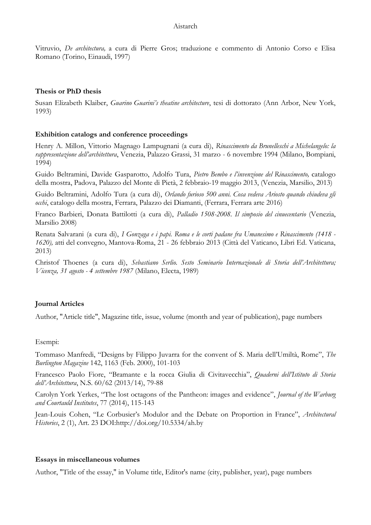Vitruvio, *De architectura,* a cura di Pierre Gros; traduzione e commento di Antonio Corso e Elisa Romano (Torino, Einaudi, 1997)

## **Thesis or PhD thesis**

Susan Elizabeth [Klaiber,](javascript:open_window(%22https://aleph.mpg.de:443/F/B8XDSNVM8IKVM79NAPBYHHL984R7T43Q83EM7YHQ4IS5T4UTUY-29941?func=service&doc_number=000282430&line_number=0013&service_type=TAG%22);) *[Guarino Guarini's theatine architecture](javascript:open_window(%22https://aleph.mpg.de:443/F/B8XDSNVM8IKVM79NAPBYHHL984R7T43Q83EM7YHQ4IS5T4UTUY-29942?func=service&doc_number=000282430&line_number=0014&service_type=TAG%22);)*, tesi di dottorato (Ann Arbor, New York, 1993)

# **Exhibition catalogs and conference proceedings**

Henry A. Millon, Vittorio Magnago Lampugnani (a cura di), *Rinascimento [da Brunelleschi a Michelangelo:](javascript:open_window(%22https://aleph.mpg.de:443/F/KT2KBBG9289H5UV9TQPQRUBGL7G97RQYR1GSAMAQL7114L1UX2-29211?func=service&doc_number=000477486&line_number=0020&service_type=TAG%22);) la rappresentazione dell'architettura*, Venezia, Palazzo Grassi, 31 marzo - 6 novembre 1994 (Milano, Bompiani, 1994)

Guido Beltramini, Davide Gasparotto, Adolfo Tura, *Pietro Bembo e l'invenzione del Rinascimento,* catalogo della mostra, Padova, Palazzo del Monte di Pietà, 2 febbraio-19 maggio 2013, (Venezia, Marsilio, 2013)

Guido Beltramini, Adolfo Tura (a cura di), *Orlando furioso 500 anni. Cosa vedeva Ariosto quando chiudeva gli occhi*, catalogo della mostra, Ferrara, Palazzo dei Diamanti, (Ferrara, Ferrara arte 2016)

Franco Barbieri, Donata Battilotti (a cura di), *Palladio 1508-2008. Il simposio del cinuecentario* (Venezia, Marsilio 2008)

Renata Salvarani (a cura di), *I Gonzaga e i papi. Roma e le corti padane fra Umanesimo e Rinascimento (1418 - 1620),* atti del convegno, Mantova-Roma, 21 - 26 febbraio 2013 (Città del Vaticano, Libri Ed. Vaticana, 2013)

Christof Thoenes (a cura di), *Sebastiano Serlio. Sesto Seminario Internazionale di Storia dell'Architettura; Vicenza, 31 agosto - 4 settembre 1987* (Milano, Electa, 1989)

# **Journal Articles**

Author, "Article title", Magazine title, issue, volume (month and year of publication), page numbers

### Esempi:

Tommaso Manfredi, "Designs by Filippo Juvarra for the convent of S. Maria dell'Umiltà, Rome", *The Burlington Magazine* 142, 1163 (Feb. 2000), 101-103

Francesco Paolo Fiore, "Bramante e la rocca Giulia di Civitavecchia", *Quaderni dell'Istituto di Storia dell'Architettura*, N.S. 60/62 (2013/14), 79-88

Carolyn York Yerkes, "The lost octagons of the Pantheon: images and evidence", *Journal of the Warburg and Courtauld Institutes*, 77 (2014), 115-143

Jean-Louis Cohen, "Le Corbusier's Modulor and the Debate on Proportion in France", *Architectural Histories*, 2 (1), Art. 23 DOI[:http://doi.org/10.5334/ah.by](http://doi.org/10.5334/ah.by)

### **Essays in miscellaneous volumes**

Author, "Title of the essay," in Volume title, Editor's name (city, publisher, year), page numbers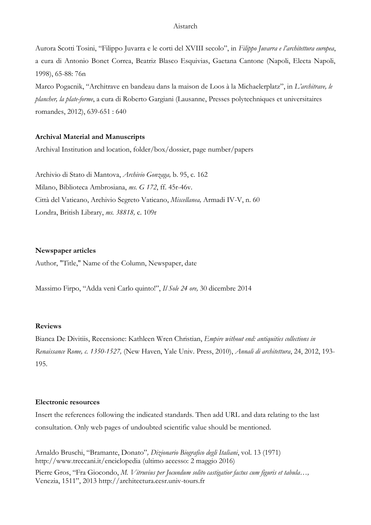Aurora Scotti Tosini, "Filippo Juvarra e le corti del XVIII secolo", in *Filippo Juvarra e l'architettura europea*, a cura di Antonio Bonet Correa, Beatriz Blasco Esquivias, Gaetana Cantone (Napoli, Electa Napoli, 1998), 65-88: 76n

Marco Pogacnik, "[Architrave en bandeau dans la maison de Loos à la Michaelerplatz](javascript:open_window(%22https://aleph.mpg.de:443/F/B8XDSNVM8IKVM79NAPBYHHL984R7T43Q83EM7YHQ4IS5T4UTUY-21453?func=service&doc_number=001817626&line_number=0014&service_type=TAG%22);)", in *L'architrave, le plancher, la plate-forme*, a cura di Roberto Gargiani (Lausanne, Presses polytechniques et universitaires romandes, 2012), 639-651 : 640

# **Archival Material and Manuscripts**

Archival Institution and location, folder/box/dossier, page number/papers

Archivio di Stato di Mantova, *Archivio Gonzaga,* b. 95, c. 162 Milano, Biblioteca Ambrosiana, *ms. G 172*, ff. 45r-46v. Città del Vaticano, Archivio Segreto Vaticano, *Miscellanea,* Armadi IV-V, n. 60 Londra, British Library, *ms. 38818,* c. 109r

#### **Newspaper articles**

Author, "Title," Name of the Column, Newspaper, date

Massimo Firpo, "Adda venì Carlo quinto!", *Il Sole 24 ore,* 30 dicembre 2014

## **Reviews**

Bianca De Divitiis, Recensione: Kathleen Wren Christian, *Empire without end: antiquities collections in Renaissance Rome, c. 1350-1527,* (New Haven, Yale Univ. Press, 2010), *Annali di architettura*, 24, 2012, 193- 195.

#### **Electronic resources**

Insert the references following the indicated standards. Then add URL and data relating to the last consultation. Only web pages of undoubted scientific value should be mentioned.

Arnaldo Bruschi, "Bramante, Donato"*, Dizionario Biografico degli Italiani*, vol. 13 (1971) <http://www.treccani.it/enciclopedia> (ultimo accesso: 2 maggio 2016)

Pierre Gros, "Fra Giocondo, *M. Vitruvius per Jocundum solito castigatior factus cum figuris et tabula…,*  Venezia, 1511", 2013 [http://architectura.cesr.univ-tours.fr](http://architectura.cesr.univ-tours.fr/)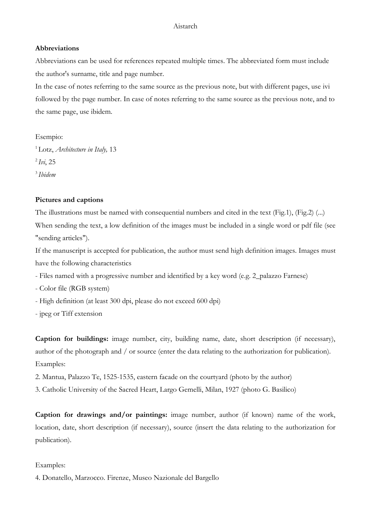# **Abbreviations**

Abbreviations can be used for references repeated multiple times. The abbreviated form must include the author's surname, title and page number.

In the case of notes referring to the same source as the previous note, but with different pages, use ivi followed by the page number. In case of notes referring to the same source as the previous note, and to the same page, use ibidem.

Esempio: <sup>1</sup>Lotz, *Architecture in Italy,* 13 <sup>2</sup>*Ivi*, 25 <sup>3</sup>*Ibidem*

# **Pictures and captions**

The illustrations must be named with consequential numbers and cited in the text (Fig.1), (Fig.2) (...) When sending the text, a low definition of the images must be included in a single word or pdf file (see "sending articles").

If the manuscript is accepted for publication, the author must send high definition images. Images must have the following characteristics

- Files named with a progressive number and identified by a key word (e.g. 2\_palazzo Farnese)
- Color file (RGB system)
- High definition (at least 300 dpi, please do not exceed 600 dpi)
- jpeg or Tiff extension

**Caption for buildings:** image number, city, building name, date, short description (if necessary), author of the photograph and / or source (enter the data relating to the authorization for publication). Examples:

- 2. Mantua, Palazzo Te, 1525-1535, eastern facade on the courtyard (photo by the author)
- 3. Catholic University of the Sacred Heart, Largo Gemelli, Milan, 1927 (photo G. Basilico)

**Caption for drawings and/or paintings:** image number, author (if known) name of the work, location, date, short description (if necessary), source (insert the data relating to the authorization for publication).

### Examples:

4. Donatello, Marzocco. Firenze, Museo Nazionale del Bargello